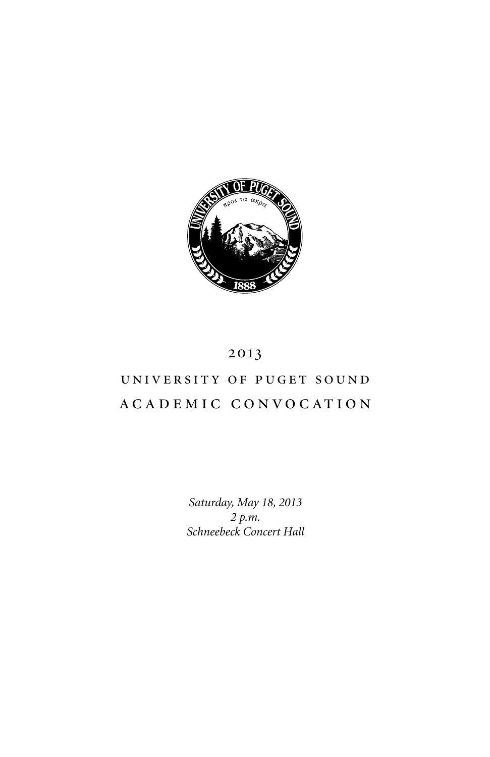

# 2013

# university of puget sound academic convocation

*Saturday, May 18, 2013 2 p.m. Schneebeck Concert Hall*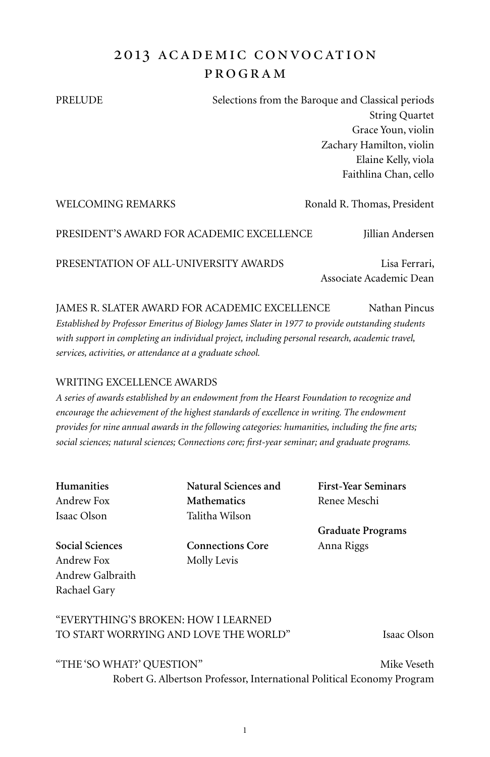# 2013 ACADEMIC CONVOCATION program

PRELUDE Selections from the Baroque and Classical periods String Quartet Grace Youn, violin Zachary Hamilton, violin Elaine Kelly, viola Faithlina Chan, cello

WELCOMING REMARKS Ronald R. Thomas, President PRESIDENT'S AWARD FOR ACADEMIC EXCELLENCE Jillian Andersen PRESENTATION OF ALL-UNIVERSITY AWARDS Lisa Ferrari, Associate Academic Dean

JAMES R. SLATER AWARD FOR ACADEMIC EXCELLENCE Nathan Pincus *Established by Professor Emeritus of Biology James Slater in 1977 to provide outstanding students with support in completing an individual project, including personal research, academic travel, services, activities, or attendance at a graduate school.*

### WRITING EXCELLENCE AWARDS

*A series of awards established by an endowment from the Hearst Foundation to recognize and encourage the achievement of the highest standards of excellence in writing. The endowment provides for nine annual awards in the following categories: humanities, including the fine arts; social sciences; natural sciences; Connections core; first-year seminar; and graduate programs.*

**Humanities** Andrew Fox Isaac Olson

**Social Sciences** Andrew Fox Andrew Galbraith Rachael Gary

**Natural Sciences and Mathematics** Talitha Wilson

**Connections Core** Molly Levis

**First-Year Seminars** Renee Meschi

**Graduate Programs** Anna Riggs

## "Everything's broken: how i learned to start worrying and love the world" Isaac Olson

"THE 'SO WHAT?' QUESTION" Mike Veseth Robert G. Albertson Professor, International Political Economy Program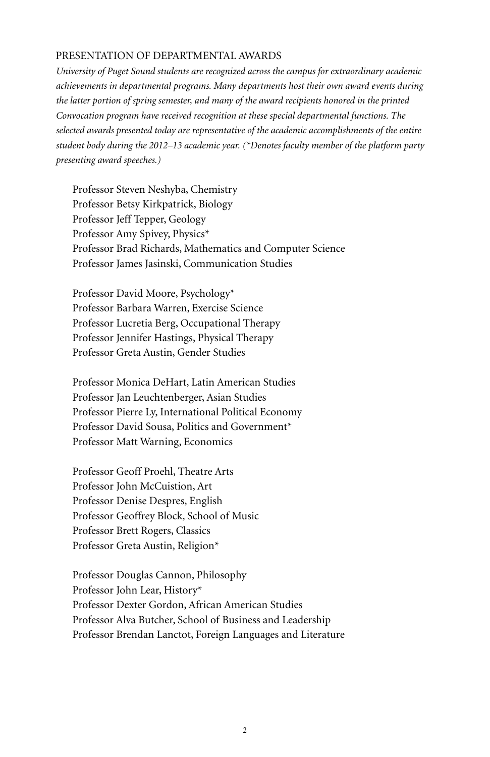#### Presentation of Departmental Awards

*University of Puget Sound students are recognized across the campus for extraordinary academic achievements in departmental programs. Many departments host their own award events during the latter portion of spring semester, and many of the award recipients honored in the printed Convocation program have received recognition at these special departmental functions. The selected awards presented today are representative of the academic accomplishments of the entire student body during the 2012–13 academic year. (\*Denotes faculty member of the platform party presenting award speeches.)*

Professor Steven Neshyba, Chemistry Professor Betsy Kirkpatrick, Biology Professor Jeff Tepper, Geology Professor Amy Spivey, Physics\* Professor Brad Richards, Mathematics and Computer Science Professor James Jasinski, Communication Studies

Professor David Moore, Psychology\* Professor Barbara Warren, Exercise Science Professor Lucretia Berg, Occupational Therapy Professor Jennifer Hastings, Physical Therapy Professor Greta Austin, Gender Studies

Professor Monica DeHart, Latin American Studies Professor Jan Leuchtenberger, Asian Studies Professor Pierre Ly, International Political Economy Professor David Sousa, Politics and Government\* Professor Matt Warning, Economics

Professor Geoff Proehl, Theatre Arts Professor John McCuistion, Art Professor Denise Despres, English Professor Geoffrey Block, School of Music Professor Brett Rogers, Classics Professor Greta Austin, Religion\*

Professor Douglas Cannon, Philosophy Professor John Lear, History\* Professor Dexter Gordon, African American Studies Professor Alva Butcher, School of Business and Leadership Professor Brendan Lanctot, Foreign Languages and Literature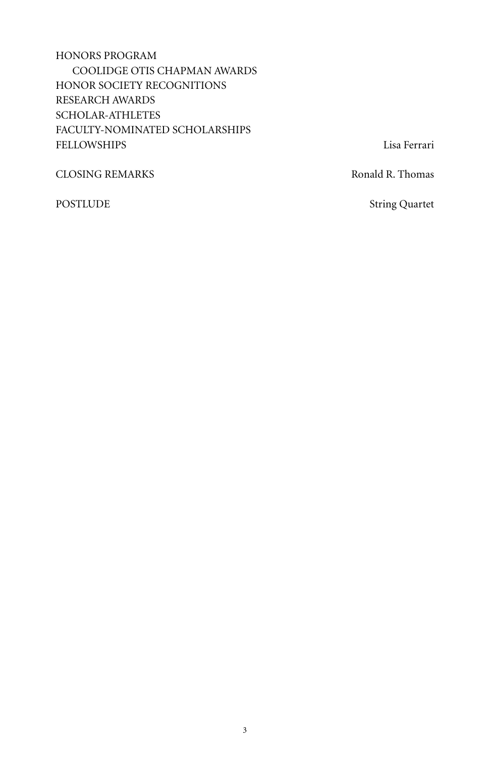# Honors Program Coolidge Otis Chapman Awards Honor Society Recognitions Research Awards Scholar-Athletes Faculty-Nominated Scholarships FELLOWSHIPS Lisa Ferrari

CLOSING REMARKS Ronald R. Thomas

POSTLUDE String Quartet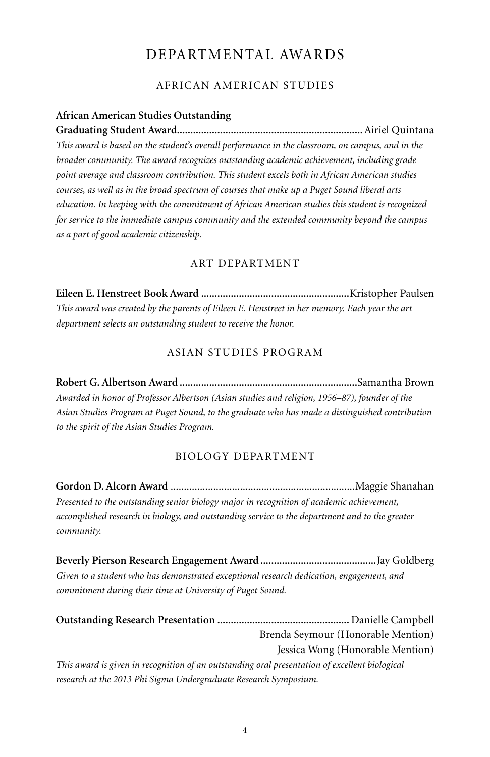# Departmental Awards

### African American Studies

#### **African American Studies Outstanding**

**Graduating Student Award.....................................................................**Airiel Quintana *This award is based on the student's overall performance in the classroom, on campus, and in the broader community. The award recognizes outstanding academic achievement, including grade point average and classroom contribution. This student excels both in African American studies courses, as well as in the broad spectrum of courses that make up a Puget Sound liberal arts education. In keeping with the commitment of African American studies this student is recognized for service to the immediate campus community and the extended community beyond the campus as a part of good academic citizenship.*

#### Art Department

**Eileen E. Henstreet Book Award .......................................................**Kristopher Paulsen *This award was created by the parents of Eileen E. Henstreet in her memory. Each year the art department selects an outstanding student to receive the honor.* 

### Asian Studies Program

**Robert G. Albertson Award ..................................................................**Samantha Brown *Awarded in honor of Professor Albertson (Asian studies and religion, 1956–87), founder of the Asian Studies Program at Puget Sound, to the graduate who has made a distinguished contribution to the spirit of the Asian Studies Program.*

#### Biology Department

**Gordon D. Alcorn Award** .....................................................................Maggie Shanahan *Presented to the outstanding senior biology major in recognition of academic achievement, accomplished research in biology, and outstanding service to the department and to the greater community.*

**Beverly Pierson Research Engagement Award ...........................................**Jay Goldberg *Given to a student who has demonstrated exceptional research dedication, engagement, and commitment during their time at University of Puget Sound.*

**Outstanding Research Presentation .................................................** Danielle Campbell Brenda Seymour (Honorable Mention) Jessica Wong (Honorable Mention) *This award is given in recognition of an outstanding oral presentation of excellent biological research at the 2013 Phi Sigma Undergraduate Research Symposium.*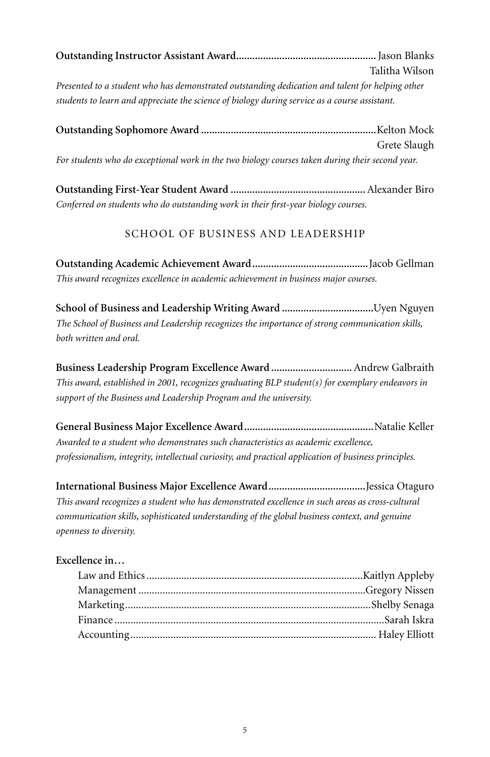| Talitha Wilson |
|----------------|

*Presented to a student who has demonstrated outstanding dedication and talent for helping other students to learn and appreciate the science of biology during service as a course assistant.*

|                                                                                                 | Grete Slaugh |
|-------------------------------------------------------------------------------------------------|--------------|
| For students who do exceptional work in the two biology courses taken during their second year. |              |

**Outstanding First-Year Student Award ..................................................**Alexander Biro *Conferred on students who do outstanding work in their first-year biology courses.*

# School of Business and Leadership

**Outstanding Academic Achievement Award...........................................**Jacob Gellman *This award recognizes excellence in academic achievement in business major courses.*

**School of Business and Leadership Writing Award ..................................**Uyen Nguyen *The School of Business and Leadership recognizes the importance of strong communication skills, both written and oral.*

**Business Leadership Program Excellence Award ..............................** Andrew Galbraith *This award, established in 2001, recognizes graduating BLP student(s) for exemplary endeavors in support of the Business and Leadership Program and the university.*

**General Business Major Excellence Award................................................**Natalie Keller *Awarded to a student who demonstrates such characteristics as academic excellence, professionalism, integrity, intellectual curiosity, and practical application of business principles.*

**International Business Major Excellence Award....................................**Jessica Otaguro *This award recognizes a student who has demonstrated excellence in such areas as cross-cultural communication skills, sophisticated understanding of the global business context, and genuine openness to diversity.*

## **Excellence in…**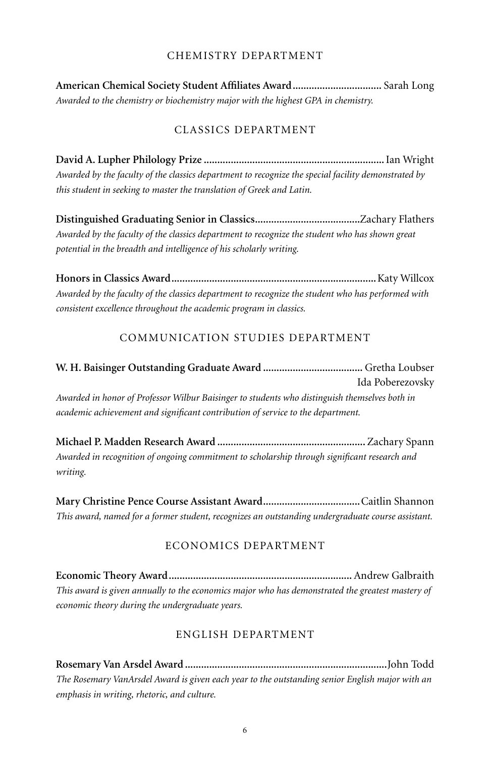#### Chemistry Department

**American Chemical Society Student Affiliates Award.................................** Sarah Long *Awarded to the chemistry or biochemistry major with the highest GPA in chemistry.*

## Classics Department

**David A. Lupher Philology Prize ...................................................................**Ian Wright *Awarded by the faculty of the classics department to recognize the special facility demonstrated by this student in seeking to master the translation of Greek and Latin.*

**Distinguished Graduating Senior in Classics.......................................**Zachary Flathers *Awarded by the faculty of the classics department to recognize the student who has shown great potential in the breadth and intelligence of his scholarly writing.*

**Honors in Classics Award............................................................................**Katy Willcox *Awarded by the faculty of the classics department to recognize the student who has performed with consistent excellence throughout the academic program in classics.*

## Communication Studies Department

# **W. H. Baisinger Outstanding Graduate Award .....................................** Gretha Loubser Ida Poberezovsky *Awarded in honor of Professor Wilbur Baisinger to students who distinguish themselves both in academic achievement and significant contribution of service to the department.*

**Michael P. Madden Research Award .......................................................** Zachary Spann *Awarded in recognition of ongoing commitment to scholarship through significant research and writing.*

**Mary Christine Pence Course Assistant Award....................................**Caitlin Shannon *This award, named for a former student, recognizes an outstanding undergraduate course assistant.*

## Economics Department

**Economic Theory Award....................................................................** Andrew Galbraith *This award is given annually to the economics major who has demonstrated the greatest mastery of economic theory during the undergraduate years.* 

## English Department

**Rosemary Van Arsdel Award ...........................................................................**John Todd *The Rosemary VanArsdel Award is given each year to the outstanding senior English major with an emphasis in writing, rhetoric, and culture.*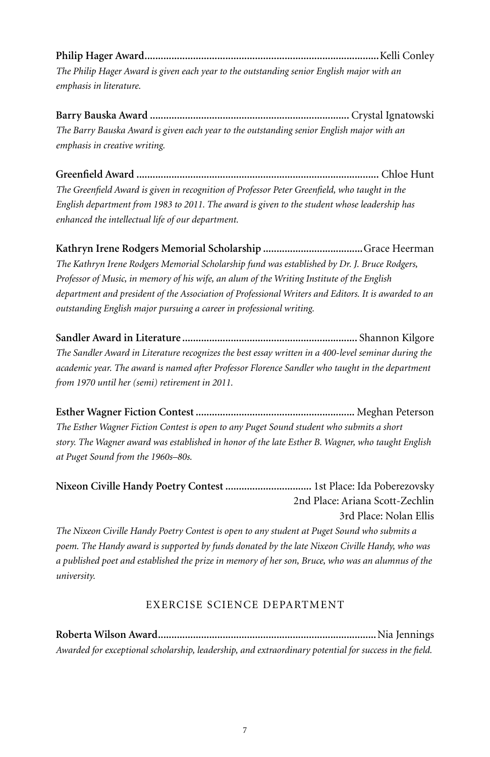**Philip Hager Award.......................................................................................**Kelli Conley *The Philip Hager Award is given each year to the outstanding senior English major with an emphasis in literature.*

**Barry Bauska Award ..........................................................................** Crystal Ignatowski *The Barry Bauska Award is given each year to the outstanding senior English major with an emphasis in creative writing.*

**Greenfield Award ..........................................................................................** Chloe Hunt *The Greenfield Award is given in recognition of Professor Peter Greenfield, who taught in the English department from 1983 to 2011. The award is given to the student whose leadership has enhanced the intellectual life of our department.*

**Kathryn Irene Rodgers Memorial Scholarship .....................................**Grace Heerman *The Kathryn Irene Rodgers Memorial Scholarship fund was established by Dr. J. Bruce Rodgers, Professor of Music, in memory of his wife, an alum of the Writing Institute of the English department and president of the Association of Professional Writers and Editors. It is awarded to an outstanding English major pursuing a career in professional writing.* 

**Sandler Award in Literature .................................................................** Shannon Kilgore *The Sandler Award in Literature recognizes the best essay written in a 400-level seminar during the academic year. The award is named after Professor Florence Sandler who taught in the department from 1970 until her (semi) retirement in 2011.* 

**Esther Wagner Fiction Contest ...........................................................** Meghan Peterson *The Esther Wagner Fiction Contest is open to any Puget Sound student who submits a short story. The Wagner award was established in honor of the late Esther B. Wagner, who taught English at Puget Sound from the 1960s–80s.*

**Nixeon Civille Handy Poetry Contest ................................** 1st Place: Ida Poberezovsky 2nd Place: Ariana Scott-Zechlin 3rd Place: Nolan Ellis

*The Nixeon Civille Handy Poetry Contest is open to any student at Puget Sound who submits a poem. The Handy award is supported by funds donated by the late Nixeon Civille Handy, who was a published poet and established the prize in memory of her son, Bruce, who was an alumnus of the university.*

# Exercise Science Department

**Roberta Wilson Award.................................................................................**Nia Jennings *Awarded for exceptional scholarship, leadership, and extraordinary potential for success in the field.*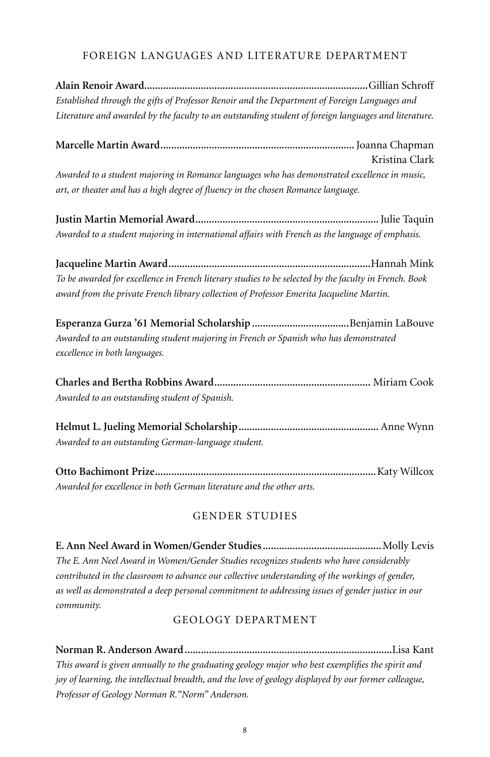## Foreign Languages and Literature Department

**Alain Renoir Award...................................................................................**Gillian Schroff *Established through the gifts of Professor Renoir and the Department of Foreign Languages and Literature and awarded by the faculty to an outstanding student of foreign languages and literature.*

**Marcelle Martin Award........................................................................**Joanna Chapman Kristina Clark

*Awarded to a student majoring in Romance languages who has demonstrated excellence in music, art, or theater and has a high degree of fluency in the chosen Romance language.*

**Justin Martin Memorial Award....................................................................**Julie Taquin *Awarded to a student majoring in international affairs with French as the language of emphasis.*

**Jacqueline Martin Award...........................................................................**Hannah Mink *To be awarded for excellence in French literary studies to be selected by the faculty in French. Book award from the private French library collection of Professor Emerita Jacqueline Martin.*

**Esperanza Gurza '61 Memorial Scholarship ....................................**Benjamin LaBouve *Awarded to an outstanding student majoring in French or Spanish who has demonstrated excellence in both languages.*

**Charles and Bertha Robbins Award..........................................................** Miriam Cook *Awarded to an outstanding student of Spanish.*

**Helmut L. Jueling Memorial Scholarship....................................................** Anne Wynn *Awarded to an outstanding German-language student.*

**Otto Bachimont Prize..................................................................................**Katy Willcox *Awarded for excellence in both German literature and the other arts.*

# Gender Studies

**E. Ann Neel Award in Women/Gender Studies............................................**Molly Levis *The E. Ann Neel Award in Women/Gender Studies recognizes students who have considerably contributed in the classroom to advance our collective understanding of the workings of gender, as well as demonstrated a deep personal commitment to addressing issues of gender justice in our community.*

## Geology Department

**Norman R. Anderson Award.............................................................................**Lisa Kant *This award is given annually to the graduating geology major who best exemplifies the spirit and joy of learning, the intellectual breadth, and the love of geology displayed by our former colleague, Professor of Geology Norman R."Norm" Anderson.*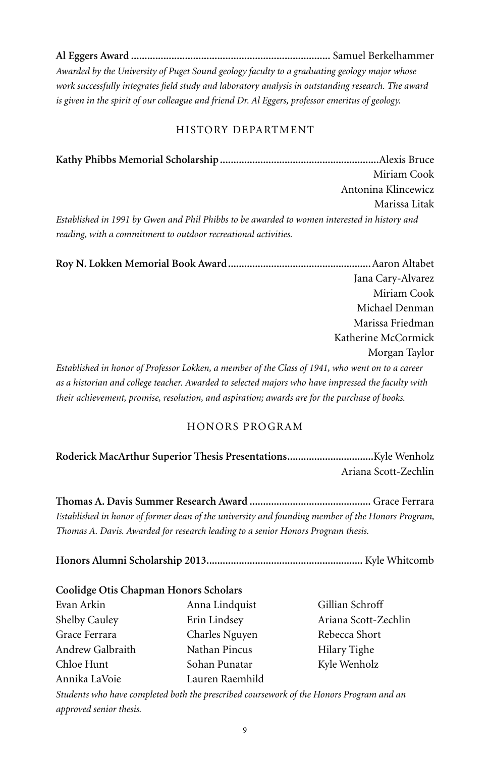**Al Eggers Award ..........................................................................** Samuel Berkelhammer *Awarded by the University of Puget Sound geology faculty to a graduating geology major whose work successfully integrates field study and laboratory analysis in outstanding research. The award is given in the spirit of our colleague and friend Dr. Al Eggers, professor emeritus of geology.*

### History Department

**Kathy Phibbs Memorial Scholarship...........................................................**Alexis Bruce Miriam Cook Antonina Klincewicz Marissa Litak *Established in 1991 by Gwen and Phil Phibbs to be awarded to women interested in history and reading, with a commitment to outdoor recreational activities.*

**Roy N. Lokken Memorial Book Award.....................................................**Aaron Altabet Jana Cary-Alvarez Miriam Cook Michael Denman Marissa Friedman Katherine McCormick Morgan Taylor *Established in honor of Professor Lokken, a member of the Class of 1941, who went on to a career as a historian and college teacher. Awarded to selected majors who have impressed the faculty with their achievement, promise, resolution, and aspiration; awards are for the purchase of books.*

## Honors Program

**Roderick MacArthur Superior Thesis Presentations................................**Kyle Wenholz Ariana Scott-Zechlin

**Thomas A. Davis Summer Research Award .............................................** Grace Ferrara *Established in honor of former dean of the university and founding member of the Honors Program, Thomas A. Davis. Awarded for research leading to a senior Honors Program thesis.*

**Honors Alumni Scholarship 2013..........................................................** Kyle Whitcomb

#### **Coolidge Otis Chapman Honors Scholars**

| Evan Arkin           | Anna Lindquist  |
|----------------------|-----------------|
| <b>Shelby Cauley</b> | Erin Lindsey    |
| Grace Ferrara        | Charles Nguyen  |
| Andrew Galbraith     | Nathan Pincus   |
| Chloe Hunt           | Sohan Punatar   |
| Annika LaVoie        | Lauren Raemhild |

Gillian Schroff Ariana Scott-Zechlin Rebecca Short Hilary Tighe Kyle Wenholz

*Students who have completed both the prescribed coursework of the Honors Program and an approved senior thesis.*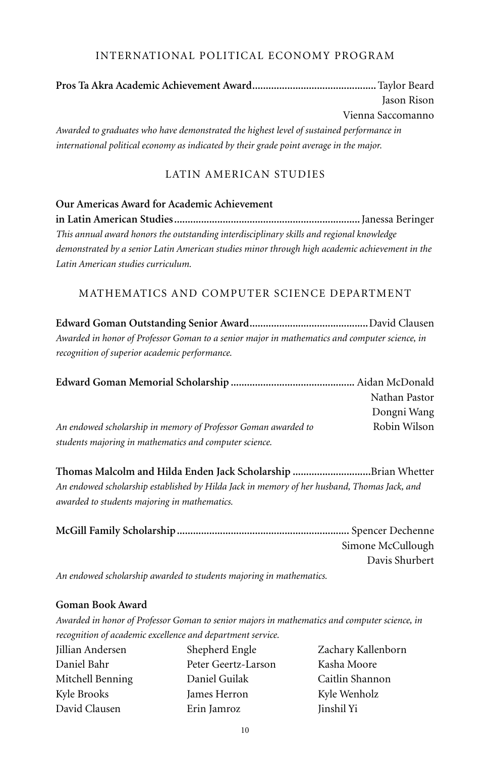#### International Political Economy Program

**Pros Ta Akra Academic Achievement Award..............................................**Taylor Beard Jason Rison Vienna Saccomanno

*Awarded to graduates who have demonstrated the highest level of sustained performance in international political economy as indicated by their grade point average in the major.*

## Latin American Studies

#### **Our Americas Award for Academic Achievement**

**in Latin American Studies.....................................................................**Janessa Beringer *This annual award honors the outstanding interdisciplinary skills and regional knowledge demonstrated by a senior Latin American studies minor through high academic achievement in the Latin American studies curriculum.*

#### Mathematics and Computer Science Department

**Edward Goman Outstanding Senior Award............................................**David Clausen *Awarded in honor of Professor Goman to a senior major in mathematics and computer science, in recognition of superior academic performance.*

|                                                                | Nathan Pastor |
|----------------------------------------------------------------|---------------|
|                                                                | Dongni Wang   |
| An endowed scholarship in memory of Professor Goman awarded to | Robin Wilson  |
| students majoring in mathematics and computer science.         |               |

**Thomas Malcolm and Hilda Enden Jack Scholarship .............................**Brian Whetter *An endowed scholarship established by Hilda Jack in memory of her husband, Thomas Jack, and awarded to students majoring in mathematics.*

| Simone McCullough |
|-------------------|
| Davis Shurbert    |
|                   |

*An endowed scholarship awarded to students majoring in mathematics.*

#### **Goman Book Award**

*Awarded in honor of Professor Goman to senior majors in mathematics and computer science, in recognition of academic excellence and department service.*

| Jillian Andersen | Shepherd Engle      | Zachary Kallenborn |
|------------------|---------------------|--------------------|
| Daniel Bahr      | Peter Geertz-Larson | Kasha Moore        |
| Mitchell Benning | Daniel Guilak       | Caitlin Shannon    |
| Kyle Brooks      | James Herron        | Kyle Wenholz       |
| David Clausen    | Erin Jamroz         | Jinshil Yi         |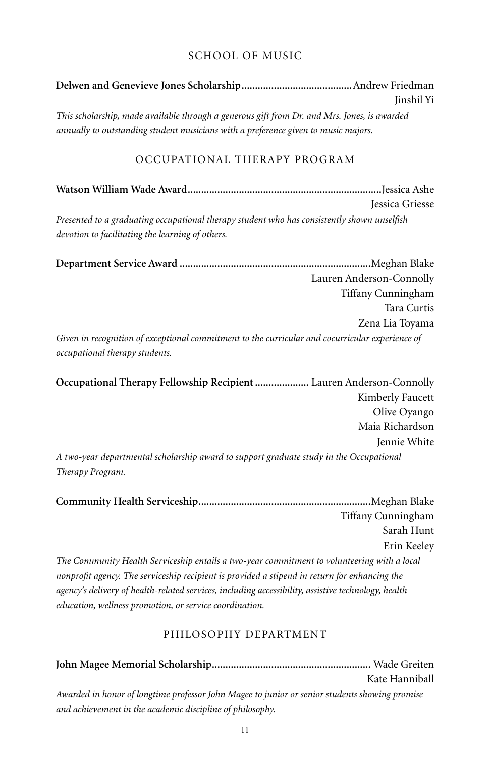## School of Music

| Jinshil Yi                                                                                                                        |
|-----------------------------------------------------------------------------------------------------------------------------------|
|                                                                                                                                   |
| This scholarship, made available through a generous gift from Dr. and Mrs. Jones, is awarded                                      |
| annually to outstanding student musicians with a preference given to music majors.                                                |
| OCCUPATIONAL THERAPY PROGRAM                                                                                                      |
|                                                                                                                                   |
| Jessica Griesse                                                                                                                   |
| Presented to a graduating occupational therapy student who has consistently shown unselfish                                       |
| devotion to facilitating the learning of others.                                                                                  |
|                                                                                                                                   |
| Lauren Anderson-Connolly                                                                                                          |
| Tiffany Cunningham                                                                                                                |
| Tara Curtis                                                                                                                       |
| Zena Lia Toyama                                                                                                                   |
| Given in recognition of exceptional commitment to the curricular and cocurricular experience of<br>occupational therapy students. |
| Occupational Therapy Fellowship Recipient  Lauren Anderson-Connolly                                                               |
| Kimberly Faucett                                                                                                                  |
| Olive Oyango                                                                                                                      |
| Maia Richardson                                                                                                                   |
| Jennie White                                                                                                                      |
| A two-year departmental scholarship award to support graduate study in the Occupational<br>Therapy Program.                       |

**Community Health Serviceship................................................................**Meghan Blake Tiffany Cunningham Sarah Hunt Erin Keeley *The Community Health Serviceship entails a two-year commitment to volunteering with a local nonprofit agency. The serviceship recipient is provided a stipend in return for enhancing the agency's delivery of health-related services, including accessibility, assistive technology, health education, wellness promotion, or service coordination.*

#### Philosophy Department

|                                                                                                | Kate Hanniball |
|------------------------------------------------------------------------------------------------|----------------|
| Awarded in honor of longtime professor John Magee to junior or senior students showing promise |                |
| and achievement in the academic discipline of philosophy.                                      |                |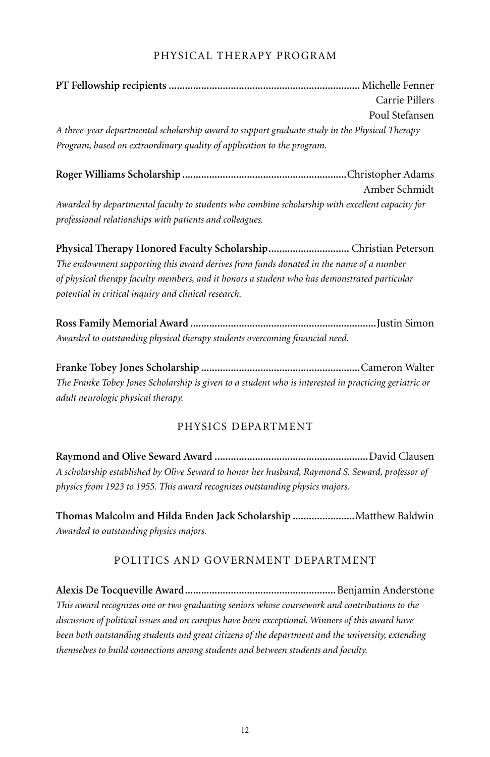#### Physical Therapy Program

|                                                                                               | Carrie Pillers |
|-----------------------------------------------------------------------------------------------|----------------|
|                                                                                               | Poul Stefansen |
| A three-year departmental scholarship award to support graduate study in the Physical Therapy |                |
| Program, based on extraordinary quality of application to the program.                        |                |

**Roger Williams Scholarship .............................................................**Christopher Adams Amber Schmidt *Awarded by departmental faculty to students who combine scholarship with excellent capacity for professional relationships with patients and colleagues.*

**Physical Therapy Honored Faculty Scholarship..............................** Christian Peterson *The endowment supporting this award derives from funds donated in the name of a number of physical therapy faculty members, and it honors a student who has demonstrated particular potential in critical inquiry and clinical research.*

**Ross Family Memorial Award .....................................................................**Justin Simon *Awarded to outstanding physical therapy students overcoming financial need.*

**Franke Tobey Jones Scholarship ...........................................................**Cameron Walter *The Franke Tobey Jones Scholarship is given to a student who is interested in practicing geriatric or adult neurologic physical therapy.*

## Physics Department

**Raymond and Olive Seward Award .........................................................**David Clausen *A scholarship established by Olive Seward to honor her husband, Raymond S. Seward, professor of physics from 1923 to 1955. This award recognizes outstanding physics majors.*

**Thomas Malcolm and Hilda Enden Jack Scholarship .......................**Matthew Baldwin *Awarded to outstanding physics majors.*

## Politics and Government Department

**Alexis De Tocqueville Award........................................................**Benjamin Anderstone *This award recognizes one or two graduating seniors whose coursework and contributions to the discussion of political issues and on campus have been exceptional. Winners of this award have been both outstanding students and great citizens of the department and the university, extending themselves to build connections among students and between students and faculty.*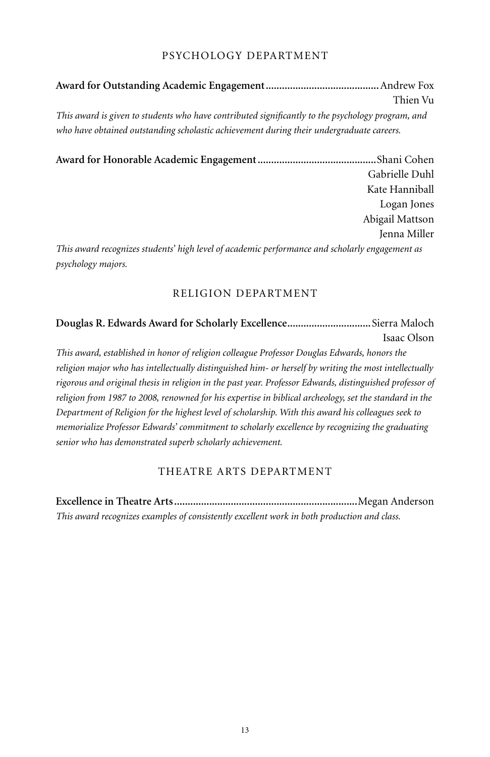#### Psychology Department

**Award for Outstanding Academic Engagement..........................................**Andrew Fox Thien Vu *This award is given to students who have contributed significantly to the psychology program, and who have obtained outstanding scholastic achievement during their undergraduate careers.*

**Award for Honorable Academic Engagement............................................**Shani Cohen Gabrielle Duhl Kate Hanniball Logan Jones Abigail Mattson Jenna Miller *This award recognizes students' high level of academic performance and scholarly engagement as psychology majors.* 

#### Religion Department

**Douglas R. Edwards Award for Scholarly Excellence...............................**Sierra Maloch Isaac Olson

*This award, established in honor of religion colleague Professor Douglas Edwards, honors the religion major who has intellectually distinguished him- or herself by writing the most intellectually rigorous and original thesis in religion in the past year. Professor Edwards, distinguished professor of religion from 1987 to 2008, renowned for his expertise in biblical archeology, set the standard in the Department of Religion for the highest level of scholarship. With this award his colleagues seek to memorialize Professor Edwards' commitment to scholarly excellence by recognizing the graduating senior who has demonstrated superb scholarly achievement.*

#### Theatre Arts Department

**Excellence in Theatre Arts....................................................................**Megan Anderson *This award recognizes examples of consistently excellent work in both production and class.*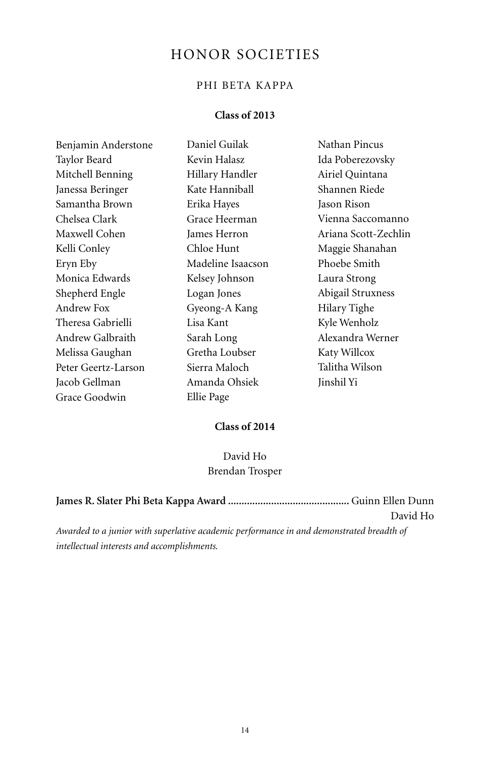# HONOR SOCIETIES

# PHI BETA KAPPA

## **Class of 2013**

| Benjamin Anderstone | Daniel Guilak     | Nathan Pincus        |
|---------------------|-------------------|----------------------|
| Taylor Beard        | Kevin Halasz      | Ida Poberezovsky     |
| Mitchell Benning    | Hillary Handler   | Airiel Quintana      |
| Janessa Beringer    | Kate Hanniball    | Shannen Riede        |
| Samantha Brown      | Erika Hayes       | Jason Rison          |
| Chelsea Clark       | Grace Heerman     | Vienna Saccomanno    |
| Maxwell Cohen       | James Herron      | Ariana Scott-Zechlin |
| Kelli Conley        | Chloe Hunt        | Maggie Shanahan      |
| Eryn Eby            | Madeline Isaacson | Phoebe Smith         |
| Monica Edwards      | Kelsey Johnson    | Laura Strong         |
| Shepherd Engle      | Logan Jones       | Abigail Struxness    |
| Andrew Fox          | Gyeong-A Kang     | Hilary Tighe         |
| Theresa Gabrielli   | Lisa Kant         | Kyle Wenholz         |
| Andrew Galbraith    | Sarah Long        | Alexandra Werner     |
| Melissa Gaughan     | Gretha Loubser    | Katy Willcox         |
| Peter Geertz-Larson | Sierra Maloch     | Talitha Wilson       |
| Jacob Gellman       | Amanda Ohsiek     | Jinshil Yi           |
| Grace Goodwin       | Ellie Page        |                      |

# **Class of 2014**

# David Ho Brendan Trosper

|                                                                                          | David Ho |
|------------------------------------------------------------------------------------------|----------|
| Awarded to a junior with superlative academic performance in and demonstrated breadth of |          |
| intellectual interests and accomplishments.                                              |          |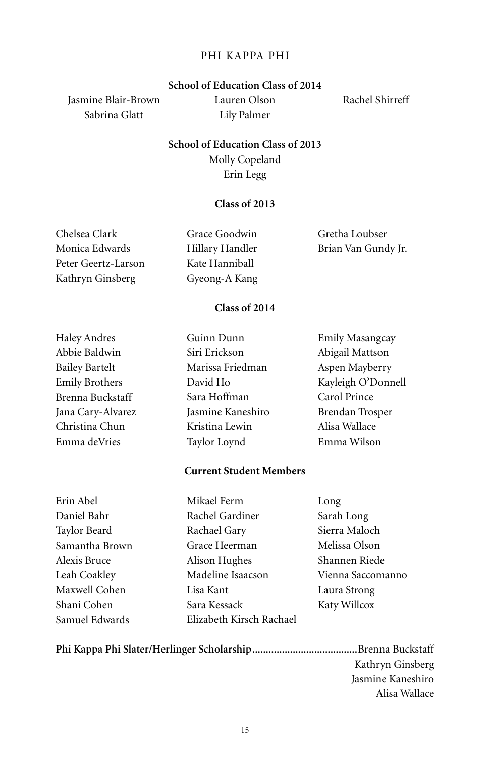#### Phi Kappa Phi

#### **School of Education Class of 2014**

Jasmine Blair-Brown Sabrina Glatt

Lauren Olson Lily Palmer

Rachel Shirreff

**School of Education Class of 2013** Molly Copeland Erin Legg

#### **Class of 2013**

Chelsea Clark Monica Edwards Peter Geertz-Larson Kathryn Ginsberg Grace Goodwin Hillary Handler Kate Hanniball Gyeong-A Kang Gretha Loubser Brian Van Gundy Jr.

### **Class of 2014**

| Haley Andres      | Guinn Dunn        | Emily Masangcay    |
|-------------------|-------------------|--------------------|
| Abbie Baldwin     | Siri Erickson     | Abigail Mattson    |
| Bailey Bartelt    | Marissa Friedman  | Aspen Mayberry     |
| Emily Brothers    | David Ho          | Kayleigh O'Donnell |
| Brenna Buckstaff  | Sara Hoffman      | Carol Prince       |
| Jana Cary-Alvarez | Jasmine Kaneshiro | Brendan Trosper    |
| Christina Chun    | Kristina Lewin    | Alisa Wallace      |
| Emma deVries      | Taylor Loynd      | Emma Wilson        |
|                   |                   |                    |

#### **Current Student Members**

| Erin Abel      |
|----------------|
| Daniel Bahr    |
| Taylor Beard   |
| Samantha Brown |
| Alexis Bruce   |
| Leah Coakley   |
| Maxwell Cohen  |
| Shani Cohen    |
| Samuel Edwards |

Mikael Ferm Rachel Gardiner Rachael Gary Grace Heerman Alison Hughes Madeline Isaacson Lisa Kant Sara Kessack Elizabeth Kirsch Rachael

Long Sarah Long Sierra Maloch Melissa Olson Shannen Riede Vienna Saccomanno Laura Strong Katy Willcox

**Phi Kappa Phi Slater/Herlinger Scholarship.......................................**Brenna Buckstaff Kathryn Ginsberg Jasmine Kaneshiro Alisa Wallace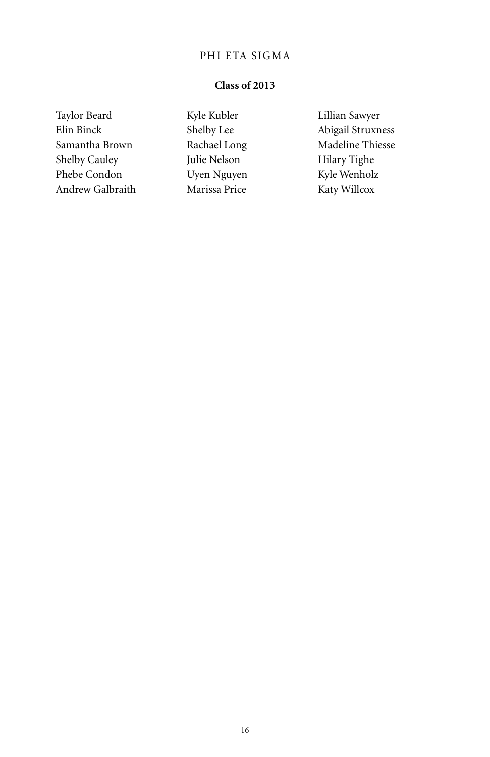## PHI ETA SIGMA

## **Class of 2013**

Taylor Beard Elin Binck Samantha Brown Shelby Cauley Phebe Condon Andrew Galbraith Kyle Kubler Shelby Lee Rachael Long Julie Nelson Uyen Nguyen Marissa Price

Lillian Sawyer Abigail Struxness Madeline Thiesse Hilary Tighe Kyle Wenholz Katy Willcox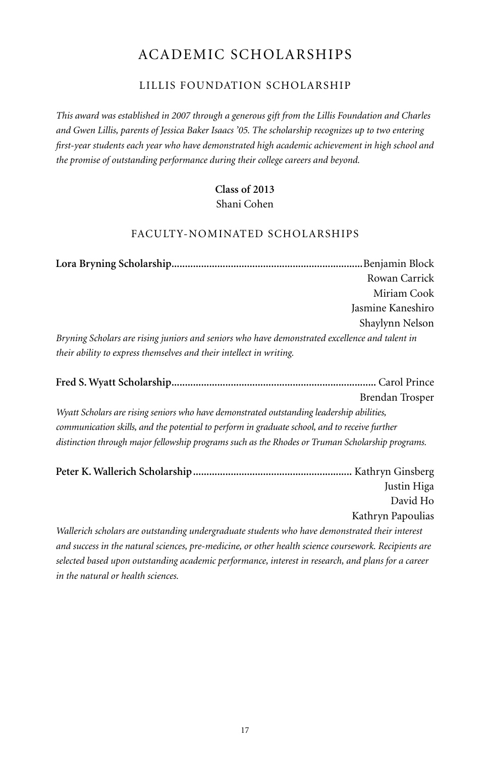# academic scholarships

## Lillis Foundation Scholarship

*This award was established in 2007 through a generous gift from the Lillis Foundation and Charles and Gwen Lillis, parents of Jessica Baker Isaacs '05. The scholarship recognizes up to two entering first-year students each year who have demonstrated high academic achievement in high school and the promise of outstanding performance during their college careers and beyond.*

# **Class of 2013**

### Shani Cohen

## Faculty-Nominated Scholarships

**Lora Bryning Scholarship.......................................................................**Benjamin Block Rowan Carrick Miriam Cook Jasmine Kaneshiro Shaylynn Nelson *Bryning Scholars are rising juniors and seniors who have demonstrated excellence and talent in their ability to express themselves and their intellect in writing.* 

**Fred S. Wyatt Scholarship............................................................................** Carol Prince Brendan Trosper *Wyatt Scholars are rising seniors who have demonstrated outstanding leadership abilities, communication skills, and the potential to perform in graduate school, and to receive further distinction through major fellowship programs such as the Rhodes or Truman Scholarship programs.*

| Justin Higa       |
|-------------------|
| David Ho          |
| Kathryn Papoulias |

*Wallerich scholars are outstanding undergraduate students who have demonstrated their interest and success in the natural sciences, pre-medicine, or other health science coursework. Recipients are selected based upon outstanding academic performance, interest in research, and plans for a career in the natural or health sciences.*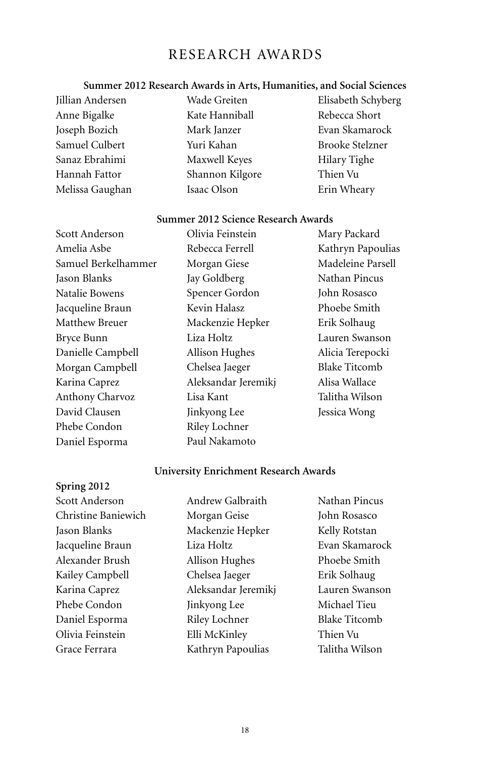# Research Awards

# **Summer 2012 Research Awards in Arts, Humanities, and Social Sciences**

| Jillian Andersen | Wade Greiten    | Elisabeth Schyberg     |
|------------------|-----------------|------------------------|
| Anne Bigalke     | Kate Hanniball  | Rebecca Short          |
| Joseph Bozich    | Mark Janzer     | Evan Skamarock         |
| Samuel Culbert   | Yuri Kahan      | <b>Brooke Stelzner</b> |
| Sanaz Ebrahimi   | Maxwell Keyes   | Hilary Tighe           |
| Hannah Fattor    | Shannon Kilgore | Thien Vu               |
| Melissa Gaughan  | Isaac Olson     | Erin Wheary            |
|                  |                 |                        |

#### **Summer 2012 Science Research Awards**

| Scott Anderson         | Olivia Feinstein    | Mary Packard         |
|------------------------|---------------------|----------------------|
| Amelia Asbe            | Rebecca Ferrell     | Kathryn Papoulias    |
| Samuel Berkelhammer    | Morgan Giese        | Madeleine Parsell    |
| Jason Blanks           | Jay Goldberg        | Nathan Pincus        |
| Natalie Bowens         | Spencer Gordon      | John Rosasco         |
| Jacqueline Braun       | Kevin Halasz        | Phoebe Smith         |
| Matthew Breuer         | Mackenzie Hepker    | Erik Solhaug         |
| Bryce Bunn             | Liza Holtz          | Lauren Swanson       |
| Danielle Campbell      | Allison Hughes      | Alicia Terepocki     |
| Morgan Campbell        | Chelsea Jaeger      | <b>Blake Titcomb</b> |
| Karina Caprez          | Aleksandar Jeremikj | Alisa Wallace        |
| <b>Anthony Charvoz</b> | Lisa Kant           | Talitha Wilson       |
| David Clausen          | Jinkyong Lee        | Jessica Wong         |
| Phebe Condon           | Riley Lochner       |                      |
| Daniel Esporma         | Paul Nakamoto       |                      |

# **University Enrichment Research Awards**

| Scott Anderson      | Andrew Galbraith    | Nathan Pincus        |
|---------------------|---------------------|----------------------|
| Christine Baniewich | Morgan Geise        | John Rosasco         |
| Jason Blanks        | Mackenzie Hepker    | Kelly Rotstan        |
| Jacqueline Braun    | Liza Holtz          | Evan Skamarock       |
| Alexander Brush     | Allison Hughes      | Phoebe Smith         |
| Kailey Campbell     | Chelsea Jaeger      | Erik Solhaug         |
| Karina Caprez       | Aleksandar Jeremikj | Lauren Swanson       |
| Phebe Condon        | Jinkyong Lee        | Michael Tieu         |
| Daniel Esporma      | Riley Lochner       | <b>Blake Titcomb</b> |
| Olivia Feinstein    | Elli McKinley       | Thien Vu             |
| Grace Ferrara       | Kathryn Papoulias   | Talitha Wilson       |
|                     |                     |                      |

**Spring 2012**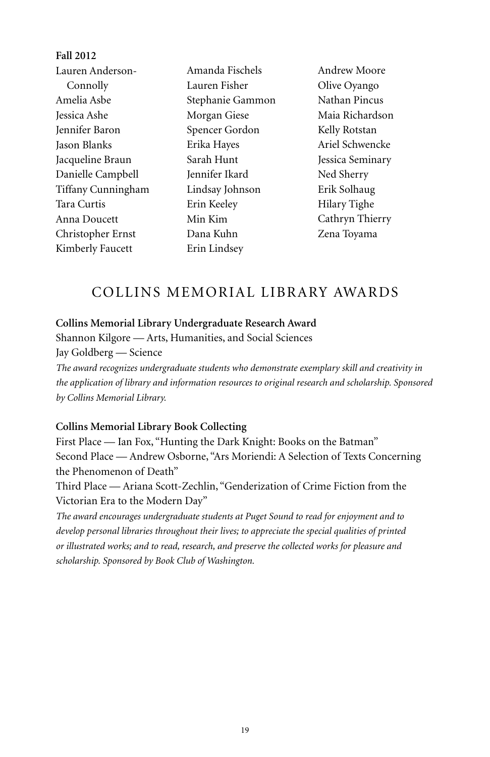| Fail 2012          |                  |                  |
|--------------------|------------------|------------------|
| Lauren Anderson-   | Amanda Fischels  | Andrew Moore     |
| Connolly           | Lauren Fisher    | Olive Oyango     |
| Amelia Asbe        | Stephanie Gammon | Nathan Pincus    |
| Jessica Ashe       | Morgan Giese     | Maia Richardson  |
| Jennifer Baron     | Spencer Gordon   | Kelly Rotstan    |
| Jason Blanks       | Erika Hayes      | Ariel Schwencke  |
| Jacqueline Braun   | Sarah Hunt       | Jessica Seminary |
| Danielle Campbell  | Jennifer Ikard   | Ned Sherry       |
| Tiffany Cunningham | Lindsay Johnson  | Erik Solhaug     |
| Tara Curtis        | Erin Keeley      | Hilary Tighe     |
| Anna Doucett       | Min Kim          | Cathryn Thierry  |
| Christopher Ernst  | Dana Kuhn        | Zena Toyama      |
| Kimberly Faucett   | Erin Lindsey     |                  |
|                    |                  |                  |

# Collins Memorial Library Awards

#### **Collins Memorial Library Undergraduate Research Award**

Shannon Kilgore — Arts, Humanities, and Social Sciences Jay Goldberg — Science

*The award recognizes undergraduate students who demonstrate exemplary skill and creativity in the application of library and information resources to original research and scholarship. Sponsored by Collins Memorial Library.*

#### **Collins Memorial Library Book Collecting**

**Fall 2012**

First Place — Ian Fox, "Hunting the Dark Knight: Books on the Batman" Second Place — Andrew Osborne, "Ars Moriendi: A Selection of Texts Concerning the Phenomenon of Death"

Third Place — Ariana Scott-Zechlin, "Genderization of Crime Fiction from the Victorian Era to the Modern Day"

*The award encourages undergraduate students at Puget Sound to read for enjoyment and to develop personal libraries throughout their lives; to appreciate the special qualities of printed or illustrated works; and to read, research, and preserve the collected works for pleasure and scholarship. Sponsored by Book Club of Washington.*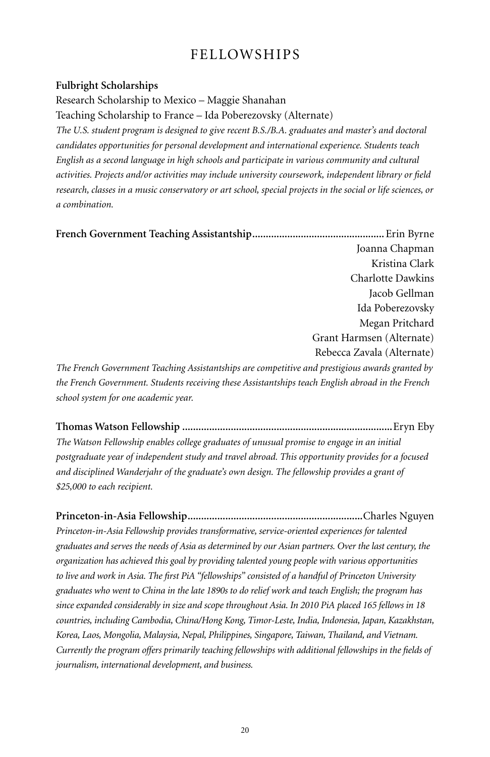# Fellowships

#### **Fulbright Scholarships**

Research Scholarship to Mexico – Maggie Shanahan

Teaching Scholarship to France – Ida Poberezovsky (Alternate)

*The U.S. student program is designed to give recent B.S./B.A. graduates and master's and doctoral candidates opportunities for personal development and international experience. Students teach English as a second language in high schools and participate in various community and cultural activities. Projects and/or activities may include university coursework, independent library or field research, classes in a music conservatory or art school, special projects in the social or life sciences, or a combination.*

**French Government Teaching Assistantship.................................................**Erin Byrne Joanna Chapman Kristina Clark Charlotte Dawkins Jacob Gellman Ida Poberezovsky Megan Pritchard Grant Harmsen (Alternate) Rebecca Zavala (Alternate) *The French Government Teaching Assistantships are competitive and prestigious awards granted by* 

*the French Government. Students receiving these Assistantships teach English abroad in the French school system for one academic year.*

**Thomas Watson Fellowship ..............................................................................**Eryn Eby *The Watson Fellowship enables college graduates of unusual promise to engage in an initial postgraduate year of independent study and travel abroad. This opportunity provides for a focused and disciplined Wanderjahr of the graduate's own design. The fellowship provides a grant of \$25,000 to each recipient.*

**Princeton-in-Asia Fellowship.................................................................**Charles Nguyen *Princeton-in-Asia Fellowship provides transformative, service-oriented experiences for talented graduates and serves the needs of Asia as determined by our Asian partners. Over the last century, the organization has achieved this goal by providing talented young people with various opportunities to live and work in Asia. The first PiA "fellowships" consisted of a handful of Princeton University graduates who went to China in the late 1890s to do relief work and teach English; the program has since expanded considerably in size and scope throughout Asia. In 2010 PiA placed 165 fellows in 18 countries, including Cambodia, China/Hong Kong, Timor-Leste, India, Indonesia, Japan, Kazakhstan, Korea, Laos, Mongolia, Malaysia, Nepal, Philippines, Singapore, Taiwan, Thailand, and Vietnam. Currently the program offers primarily teaching fellowships with additional fellowships in the fields of journalism, international development, and business.*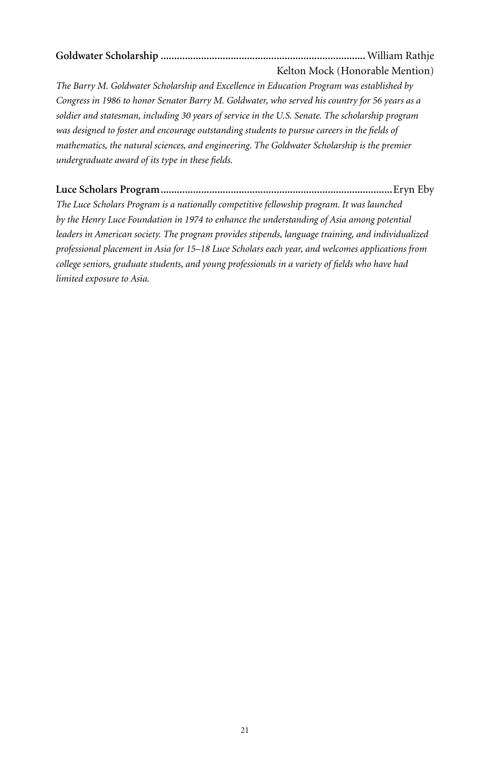**Goldwater Scholarship ............................................................................**William Rathje Kelton Mock (Honorable Mention)

*The Barry M. Goldwater Scholarship and Excellence in Education Program was established by Congress in 1986 to honor Senator Barry M. Goldwater, who served his country for 56 years as a soldier and statesman, including 30 years of service in the U.S. Senate. The scholarship program was designed to foster and encourage outstanding students to pursue careers in the fields of mathematics, the natural sciences, and engineering. The Goldwater Scholarship is the premier undergraduate award of its type in these fields.*

**Luce Scholars Program......................................................................................**Eryn Eby

*The Luce Scholars Program is a nationally competitive fellowship program. It was launched by the Henry Luce Foundation in 1974 to enhance the understanding of Asia among potential leaders in American society. The program provides stipends, language training, and individualized professional placement in Asia for 15–18 Luce Scholars each year, and welcomes applications from college seniors, graduate students, and young professionals in a variety of fields who have had limited exposure to Asia.*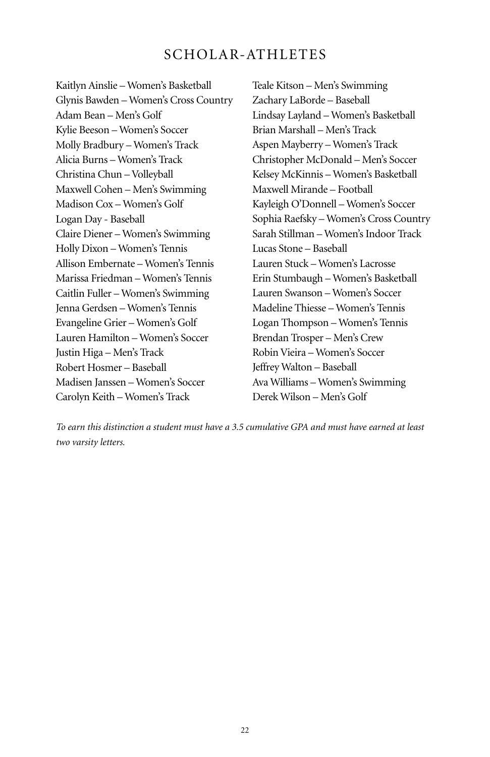# SCHOLAR-ATHLETES

Kaitlyn Ainslie – Women's Basketball Glynis Bawden – Women's Cross Country Adam Bean – Men's Golf Kylie Beeson – Women's Soccer Molly Bradbury – Women's Track Alicia Burns – Women's Track Christina Chun – Volleyball Maxwell Cohen – Men's Swimming Madison Cox – Women's Golf Logan Day - Baseball Claire Diener – Women's Swimming Holly Dixon – Women's Tennis Allison Embernate – Women's Tennis Marissa Friedman – Women's Tennis Caitlin Fuller – Women's Swimming Jenna Gerdsen – Women's Tennis Evangeline Grier – Women's Golf Lauren Hamilton – Women's Soccer Justin Higa – Men's Track Robert Hosmer – Baseball Madisen Janssen – Women's Soccer Carolyn Keith – Women's Track

Teale Kitson – Men's Swimming Zachary LaBorde – Baseball Lindsay Layland – Women's Basketball Brian Marshall – Men's Track Aspen Mayberry – Women's Track Christopher McDonald – Men's Soccer Kelsey McKinnis – Women's Basketball Maxwell Mirande – Football Kayleigh O'Donnell – Women's Soccer Sophia Raefsky – Women's Cross Country Sarah Stillman – Women's Indoor Track Lucas Stone – Baseball Lauren Stuck – Women's Lacrosse Erin Stumbaugh – Women's Basketball Lauren Swanson – Women's Soccer Madeline Thiesse – Women's Tennis Logan Thompson – Women's Tennis Brendan Trosper – Men's Crew Robin Vieira – Women's Soccer Jeffrey Walton – Baseball Ava Williams – Women's Swimming Derek Wilson – Men's Golf

*To earn this distinction a student must have a 3.5 cumulative GPA and must have earned at least two varsity letters.*